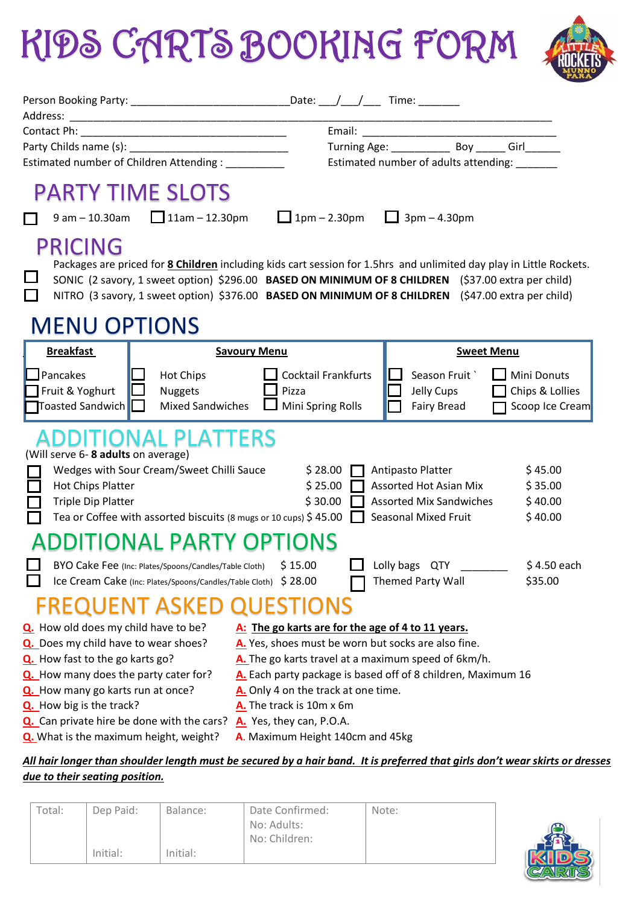## KIDS CARTS BOOKING FORM



| Person Booking Party: __________________________________Date: ___/___/_____Time: _________                                                                                                                                                                                                                                                               |                                                                                                                                                                                                                                                                                                                                |                                                                                                              |                                                   |
|----------------------------------------------------------------------------------------------------------------------------------------------------------------------------------------------------------------------------------------------------------------------------------------------------------------------------------------------------------|--------------------------------------------------------------------------------------------------------------------------------------------------------------------------------------------------------------------------------------------------------------------------------------------------------------------------------|--------------------------------------------------------------------------------------------------------------|---------------------------------------------------|
|                                                                                                                                                                                                                                                                                                                                                          |                                                                                                                                                                                                                                                                                                                                |                                                                                                              |                                                   |
|                                                                                                                                                                                                                                                                                                                                                          |                                                                                                                                                                                                                                                                                                                                |                                                                                                              |                                                   |
|                                                                                                                                                                                                                                                                                                                                                          |                                                                                                                                                                                                                                                                                                                                | Turning Age: ________________ Boy _______ Girl_______                                                        |                                                   |
| Estimated number of Children Attending :                                                                                                                                                                                                                                                                                                                 | Estimated number of adults attending:                                                                                                                                                                                                                                                                                          |                                                                                                              |                                                   |
| <b>PARTY TIME SLOTS</b><br>$9 \text{ am} - 10.30 \text{ am}$ 11am - 12.30pm                                                                                                                                                                                                                                                                              | 1pm – 2.30pm $\Box$ 3pm – 4.30pm                                                                                                                                                                                                                                                                                               |                                                                                                              |                                                   |
|                                                                                                                                                                                                                                                                                                                                                          |                                                                                                                                                                                                                                                                                                                                |                                                                                                              |                                                   |
| <b>PRICING</b><br>Packages are priced for <b>8 Children</b> including kids cart session for 1.5hrs and unlimited day play in Little Rockets.<br>SONIC (2 savory, 1 sweet option) \$296.00 BASED ON MINIMUM OF 8 CHILDREN (\$37.00 extra per child)<br>NITRO (3 savory, 1 sweet option) \$376.00 BASED ON MINIMUM OF 8 CHILDREN (\$47.00 extra per child) |                                                                                                                                                                                                                                                                                                                                |                                                                                                              |                                                   |
| <b>MENU OPTIONS</b>                                                                                                                                                                                                                                                                                                                                      |                                                                                                                                                                                                                                                                                                                                |                                                                                                              |                                                   |
| <b>Breakfast</b>                                                                                                                                                                                                                                                                                                                                         | <b>Savoury Menu</b>                                                                                                                                                                                                                                                                                                            | <b>Sweet Menu</b>                                                                                            |                                                   |
| Pancakes<br><b>Hot Chips</b><br>Fruit & Yoghurt<br><b>Nuggets</b><br>Toasted Sandwich<br><b>Mixed Sandwiches</b>                                                                                                                                                                                                                                         | <b>Cocktail Frankfurts</b><br>Pizza<br>Mini Spring Rolls                                                                                                                                                                                                                                                                       | Season Fruit<br>Jelly Cups<br>Fairy Bread                                                                    | Mini Donuts<br>Chips & Lollies<br>Scoop Ice Cream |
| ADDITIONAL PLATTERS<br>(Will serve 6-8 adults on average)<br>Wedges with Sour Cream/Sweet Chilli Sauce<br>Hot Chips Platter<br><b>Triple Dip Platter</b><br>Tea or Coffee with assorted biscuits (8 mugs or 10 cups) \$45.00                                                                                                                             | \$28.00<br>\$25.00<br>\$30.00                                                                                                                                                                                                                                                                                                  | Antipasto Platter<br><b>Assorted Hot Asian Mix</b><br><b>Assorted Mix Sandwiches</b><br>Seasonal Mixed Fruit | \$45.00<br>\$35.00<br>\$40.00<br>\$40.00          |
| ADDITIONAL PARTY OPTIONS                                                                                                                                                                                                                                                                                                                                 |                                                                                                                                                                                                                                                                                                                                |                                                                                                              |                                                   |
| BYO Cake Fee (Inc: Plates/Spoons/Candles/Table Cloth)<br>Ice Cream Cake (Inc: Plates/Spoons/Candles/Table Cloth) \$ 28.00<br><b>FREQUENT ASKED QUESTIONS</b>                                                                                                                                                                                             | \$15.00                                                                                                                                                                                                                                                                                                                        | Lolly bags QTY<br>Themed Party Wall                                                                          | \$4.50 each<br>\$35.00                            |
|                                                                                                                                                                                                                                                                                                                                                          |                                                                                                                                                                                                                                                                                                                                |                                                                                                              |                                                   |
| Q. How old does my child have to be?<br>Q. Does my child have to wear shoes?<br>Q. How fast to the go karts go?<br>Q. How many does the party cater for?<br>Q. How many go karts run at once?<br>Q. How big is the track?<br>Q. Can private hire be done with the cars?                                                                                  | A: The go karts are for the age of 4 to 11 years.<br>A. Yes, shoes must be worn but socks are also fine.<br>A. The go karts travel at a maximum speed of 6km/h.<br>A. Each party package is based off of 8 children, Maximum 16<br>A. Only 4 on the track at one time.<br>A. The track is 10m x 6m<br>A. Yes, they can, P.O.A. |                                                                                                              |                                                   |
| Q. What is the maximum height, weight?                                                                                                                                                                                                                                                                                                                   | A. Maximum Height 140cm and 45kg                                                                                                                                                                                                                                                                                               |                                                                                                              |                                                   |
| All hair longer than shoulder length must be secured by a hair band. It is preferred that girls don't wear skirts or dresses<br>due to their seating position.                                                                                                                                                                                           |                                                                                                                                                                                                                                                                                                                                |                                                                                                              |                                                   |
|                                                                                                                                                                                                                                                                                                                                                          |                                                                                                                                                                                                                                                                                                                                |                                                                                                              |                                                   |

| Total: | Dep Paid: | Balance: | Date Confirmed: | Note: |
|--------|-----------|----------|-----------------|-------|
|        |           |          | No: Adults:     |       |
|        |           |          | No: Children:   |       |
|        | Initial:  | Initial: |                 |       |

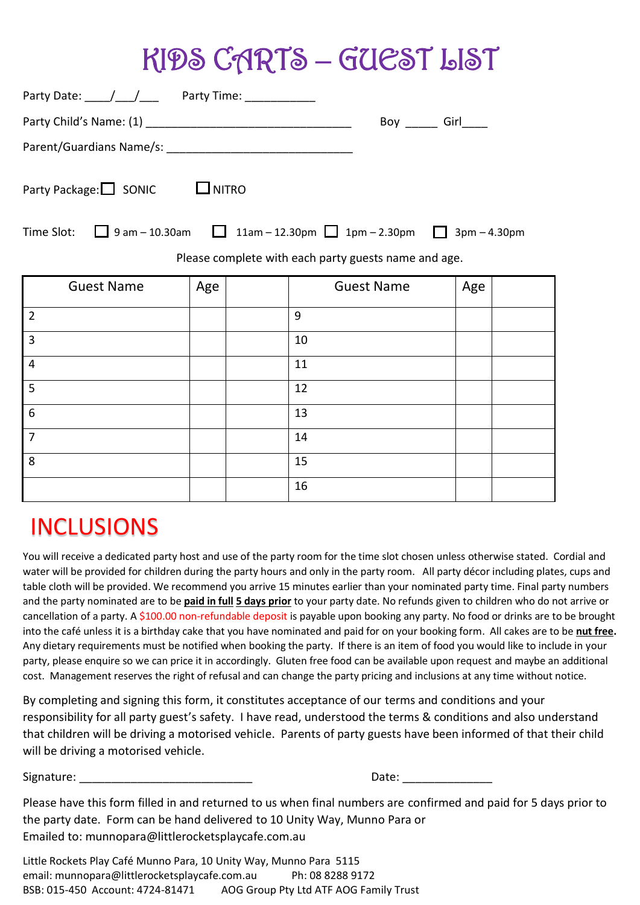## KIDS CARTS – GUEST LIST

| Party Date: \[\[\] \] \[\] \] \] \[\] \] \] \[\] \[\] \[\] \[\] \[\] \[\] \[\] \[\] \[\] \[\] \[\] \[\] \[\] \[\] \[\] \[\] \[\] \[\] \[\] \[\] \[\] \[\] \[\] \[\] \[\] \[\] \[\] \[\] \[\] \[\] \[\] \[\] \[\] \[\] \[\] \[\ |     |                      |     |  |  |  |  |  |  |
|--------------------------------------------------------------------------------------------------------------------------------------------------------------------------------------------------------------------------------|-----|----------------------|-----|--|--|--|--|--|--|
|                                                                                                                                                                                                                                |     | Boy ______ Girl_____ |     |  |  |  |  |  |  |
|                                                                                                                                                                                                                                |     |                      |     |  |  |  |  |  |  |
| $\Box$ NITRO<br>Party Package:□ SONIC                                                                                                                                                                                          |     |                      |     |  |  |  |  |  |  |
| Time Slot: $\Box$ 9 am – 10.30am $\Box$ 11am – 12.30pm $\Box$ 1pm – 2.30pm $\Box$ 3pm – 4.30pm                                                                                                                                 |     |                      |     |  |  |  |  |  |  |
| Please complete with each party guests name and age.                                                                                                                                                                           |     |                      |     |  |  |  |  |  |  |
| <b>Guest Name</b>                                                                                                                                                                                                              | Age | <b>Guest Name</b>    | Age |  |  |  |  |  |  |
| $\overline{2}$                                                                                                                                                                                                                 |     | $\overline{9}$       |     |  |  |  |  |  |  |
| $\overline{3}$                                                                                                                                                                                                                 |     | 10                   |     |  |  |  |  |  |  |
| $\overline{4}$                                                                                                                                                                                                                 |     | 11                   |     |  |  |  |  |  |  |
| 5                                                                                                                                                                                                                              |     | 12                   |     |  |  |  |  |  |  |
| 6                                                                                                                                                                                                                              |     | 13                   |     |  |  |  |  |  |  |
| $\overline{7}$                                                                                                                                                                                                                 |     | 14                   |     |  |  |  |  |  |  |

## INCLUSIONS

8 15

You will receive a dedicated party host and use of the party room for the time slot chosen unless otherwise stated. Cordial and water will be provided for children during the party hours and only in the party room. All party décor including plates, cups and table cloth will be provided. We recommend you arrive 15 minutes earlier than your nominated party time. Final party numbers and the party nominated are to be **paid in full 5 days prior** to your party date. No refunds given to children who do not arrive or cancellation of a party. A \$100.00 non-refundable deposit is payable upon booking any party. No food or drinks are to be brought into the café unless it is a birthday cake that you have nominated and paid for on your booking form. All cakes are to be **nut free.** Any dietary requirements must be notified when booking the party. If there is an item of food you would like to include in your party, please enquire so we can price it in accordingly. Gluten free food can be available upon request and maybe an additional cost. Management reserves the right of refusal and can change the party pricing and inclusions at any time without notice.

16

By completing and signing this form, it constitutes acceptance of our terms and conditions and your responsibility for all party guest's safety. I have read, understood the terms & conditions and also understand that children will be driving a motorised vehicle. Parents of party guests have been informed of that their child will be driving a motorised vehicle.

Signature: \_\_\_\_\_\_\_\_\_\_\_\_\_\_\_\_\_\_\_\_\_\_\_\_\_\_\_ Date: \_\_\_\_\_\_\_\_\_\_\_\_\_\_

Please have this form filled in and returned to us when final numbers are confirmed and paid for 5 days prior to the party date. Form can be hand delivered to 10 Unity Way, Munno Para or Emailed to: munnopara@littlerocketsplaycafe.com.au

Little Rockets Play Café Munno Para, 10 Unity Way, Munno Para 5115 email: munnopara@littlerocketsplaycafe.com.au Ph: 08 8288 9172 BSB: 015-450 Account: 4724-81471 AOG Group Pty Ltd ATF AOG Family Trust